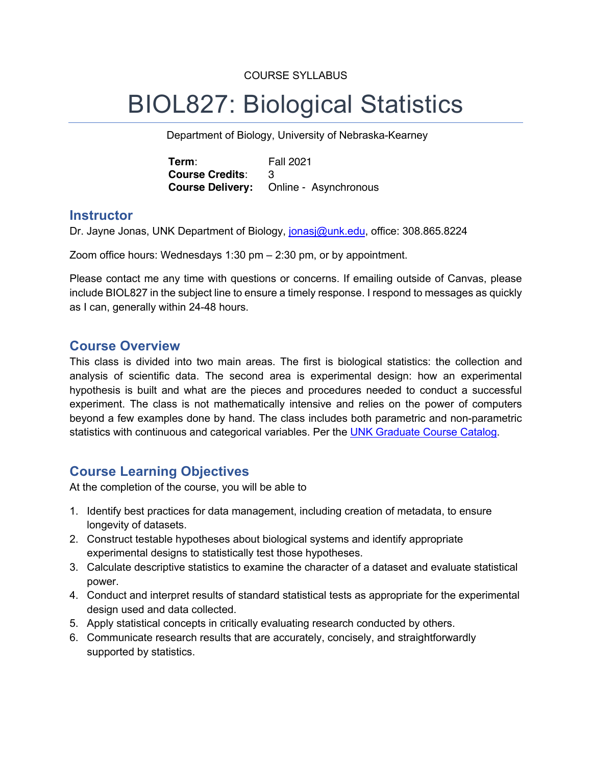### COURSE SYLLABUS

# BIOL827: Biological Statistics

Department of Biology, University of Nebraska-Kearney

**Term**: Fall 2021 **Course Credits**: 3 **Course Delivery:** Online - Asynchronous

## **Instructor**

Dr. Jayne Jonas, UNK Department of Biology, jonasj@unk.edu, office: 308.865.8224

Zoom office hours: Wednesdays 1:30 pm – 2:30 pm, or by appointment.

Please contact me any time with questions or concerns. If emailing outside of Canvas, please include BIOL827 in the subject line to ensure a timely response. I respond to messages as quickly as I can, generally within 24-48 hours.

## **Course Overview**

This class is divided into two main areas. The first is biological statistics: the collection and analysis of scientific data. The second area is experimental design: how an experimental hypothesis is built and what are the pieces and procedures needed to conduct a successful experiment. The class is not mathematically intensive and relies on the power of computers beyond a few examples done by hand. The class includes both parametric and non-parametric statistics with continuous and categorical variables. Per the UNK Graduate Course Catalog.

# **Course Learning Objectives**

At the completion of the course, you will be able to

- 1. Identify best practices for data management, including creation of metadata, to ensure longevity of datasets.
- 2. Construct testable hypotheses about biological systems and identify appropriate experimental designs to statistically test those hypotheses.
- 3. Calculate descriptive statistics to examine the character of a dataset and evaluate statistical power.
- 4. Conduct and interpret results of standard statistical tests as appropriate for the experimental design used and data collected.
- 5. Apply statistical concepts in critically evaluating research conducted by others.
- 6. Communicate research results that are accurately, concisely, and straightforwardly supported by statistics.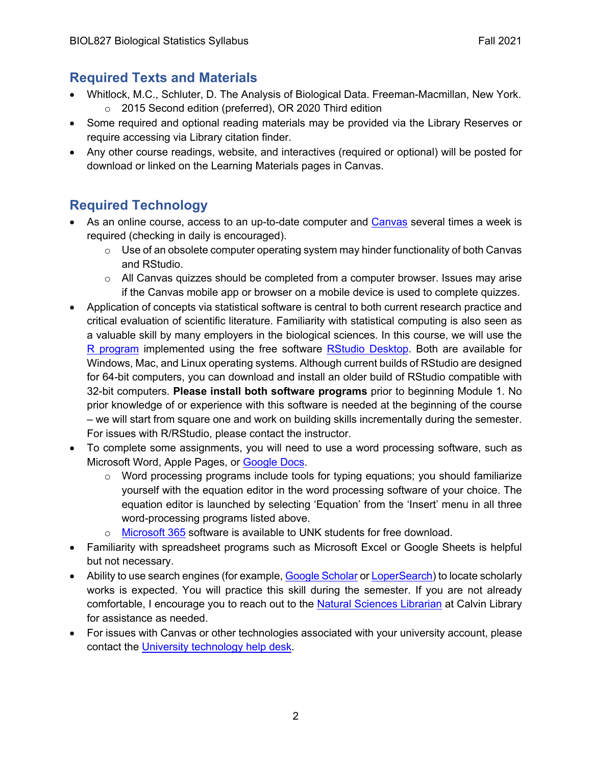# **Required Texts and Materials**

- Whitlock, M.C., Schluter, D. The Analysis of Biological Data. Freeman-Macmillan, New York. o 2015 Second edition (preferred), OR 2020 Third edition
- Some required and optional reading materials may be provided via the Library Reserves or require accessing via Library citation finder.
- Any other course readings, website, and interactives (required or optional) will be posted for download or linked on the Learning Materials pages in Canvas.

# **Required Technology**

- As an online course, access to an up-to-date computer and Canvas several times a week is required (checking in daily is encouraged).
	- o Use of an obsolete computer operating system may hinder functionality of both Canvas and RStudio.
	- $\circ$  All Canvas quizzes should be completed from a computer browser. Issues may arise if the Canvas mobile app or browser on a mobile device is used to complete quizzes.
- Application of concepts via statistical software is central to both current research practice and critical evaluation of scientific literature. Familiarity with statistical computing is also seen as a valuable skill by many employers in the biological sciences. In this course, we will use the R program implemented using the free software RStudio Desktop. Both are available for Windows, Mac, and Linux operating systems. Although current builds of RStudio are designed for 64-bit computers, you can download and install an older build of RStudio compatible with 32-bit computers. **Please install both software programs** prior to beginning Module 1. No prior knowledge of or experience with this software is needed at the beginning of the course – we will start from square one and work on building skills incrementally during the semester. For issues with R/RStudio, please contact the instructor.
- To complete some assignments, you will need to use a word processing software, such as Microsoft Word, Apple Pages, or Google Docs.
	- $\circ$  Word processing programs include tools for typing equations; you should familiarize yourself with the equation editor in the word processing software of your choice. The equation editor is launched by selecting 'Equation' from the 'Insert' menu in all three word-processing programs listed above.
	- o Microsoft 365 software is available to UNK students for free download.
- Familiarity with spreadsheet programs such as Microsoft Excel or Google Sheets is helpful but not necessary.
- Ability to use search engines (for example, Google Scholar or LoperSearch) to locate scholarly works is expected. You will practice this skill during the semester. If you are not already comfortable, I encourage you to reach out to the Natural Sciences Librarian at Calvin Library for assistance as needed.
- For issues with Canvas or other technologies associated with your university account, please contact the University technology help desk.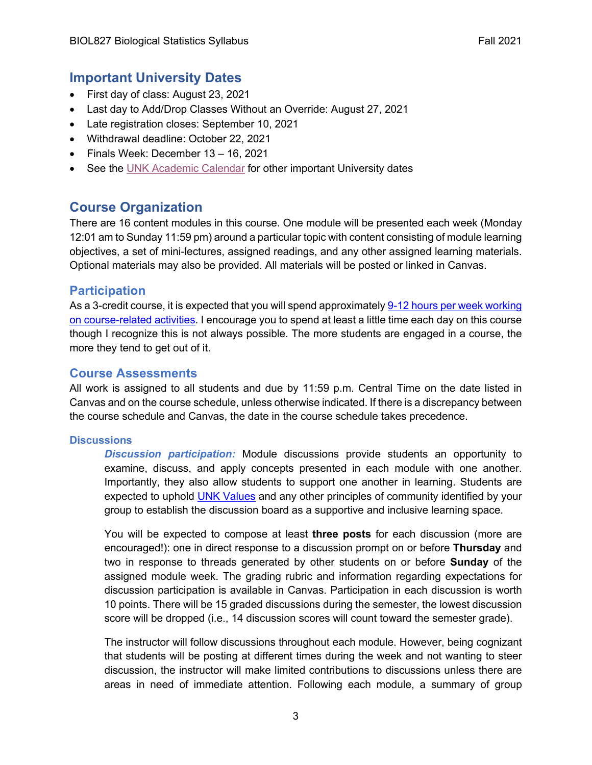# **Important University Dates**

- First day of class: August 23, 2021
- Last day to Add/Drop Classes Without an Override: August 27, 2021
- Late registration closes: September 10, 2021
- Withdrawal deadline: October 22, 2021
- Finals Week: December 13 16, 2021
- See the UNK Academic Calendar for other important University dates

# **Course Organization**

There are 16 content modules in this course. One module will be presented each week (Monday 12:01 am to Sunday 11:59 pm) around a particular topic with content consisting of module learning objectives, a set of mini-lectures, assigned readings, and any other assigned learning materials. Optional materials may also be provided. All materials will be posted or linked in Canvas.

# **Participation**

As a 3-credit course, it is expected that you will spend approximately 9-12 hours per week working on course-related activities. I encourage you to spend at least a little time each day on this course though I recognize this is not always possible. The more students are engaged in a course, the more they tend to get out of it.

# **Course Assessments**

All work is assigned to all students and due by 11:59 p.m. Central Time on the date listed in Canvas and on the course schedule, unless otherwise indicated. If there is a discrepancy between the course schedule and Canvas, the date in the course schedule takes precedence.

## **Discussions**

*Discussion participation:* Module discussions provide students an opportunity to examine, discuss, and apply concepts presented in each module with one another. Importantly, they also allow students to support one another in learning. Students are expected to uphold UNK Values and any other principles of community identified by your group to establish the discussion board as a supportive and inclusive learning space.

You will be expected to compose at least **three posts** for each discussion (more are encouraged!): one in direct response to a discussion prompt on or before **Thursday** and two in response to threads generated by other students on or before **Sunday** of the assigned module week. The grading rubric and information regarding expectations for discussion participation is available in Canvas. Participation in each discussion is worth 10 points. There will be 15 graded discussions during the semester, the lowest discussion score will be dropped (i.e., 14 discussion scores will count toward the semester grade).

The instructor will follow discussions throughout each module. However, being cognizant that students will be posting at different times during the week and not wanting to steer discussion, the instructor will make limited contributions to discussions unless there are areas in need of immediate attention. Following each module, a summary of group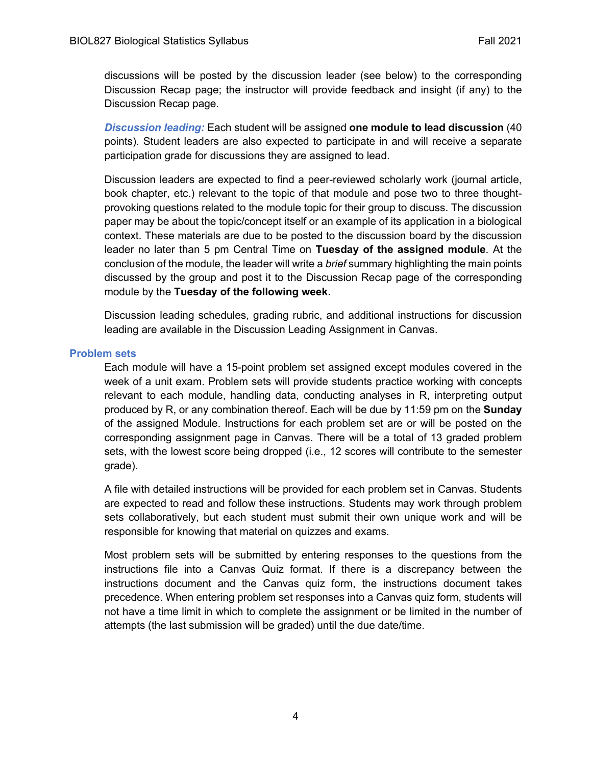discussions will be posted by the discussion leader (see below) to the corresponding Discussion Recap page; the instructor will provide feedback and insight (if any) to the Discussion Recap page.

*Discussion leading:* Each student will be assigned **one module to lead discussion** (40 points). Student leaders are also expected to participate in and will receive a separate participation grade for discussions they are assigned to lead.

Discussion leaders are expected to find a peer-reviewed scholarly work (journal article, book chapter, etc.) relevant to the topic of that module and pose two to three thoughtprovoking questions related to the module topic for their group to discuss. The discussion paper may be about the topic/concept itself or an example of its application in a biological context. These materials are due to be posted to the discussion board by the discussion leader no later than 5 pm Central Time on **Tuesday of the assigned module**. At the conclusion of the module, the leader will write a *brief* summary highlighting the main points discussed by the group and post it to the Discussion Recap page of the corresponding module by the **Tuesday of the following week**.

Discussion leading schedules, grading rubric, and additional instructions for discussion leading are available in the Discussion Leading Assignment in Canvas.

#### **Problem sets**

Each module will have a 15-point problem set assigned except modules covered in the week of a unit exam. Problem sets will provide students practice working with concepts relevant to each module, handling data, conducting analyses in R, interpreting output produced by R, or any combination thereof. Each will be due by 11:59 pm on the **Sunday** of the assigned Module. Instructions for each problem set are or will be posted on the corresponding assignment page in Canvas. There will be a total of 13 graded problem sets, with the lowest score being dropped (i.e., 12 scores will contribute to the semester grade).

A file with detailed instructions will be provided for each problem set in Canvas. Students are expected to read and follow these instructions. Students may work through problem sets collaboratively, but each student must submit their own unique work and will be responsible for knowing that material on quizzes and exams.

Most problem sets will be submitted by entering responses to the questions from the instructions file into a Canvas Quiz format. If there is a discrepancy between the instructions document and the Canvas quiz form, the instructions document takes precedence. When entering problem set responses into a Canvas quiz form, students will not have a time limit in which to complete the assignment or be limited in the number of attempts (the last submission will be graded) until the due date/time.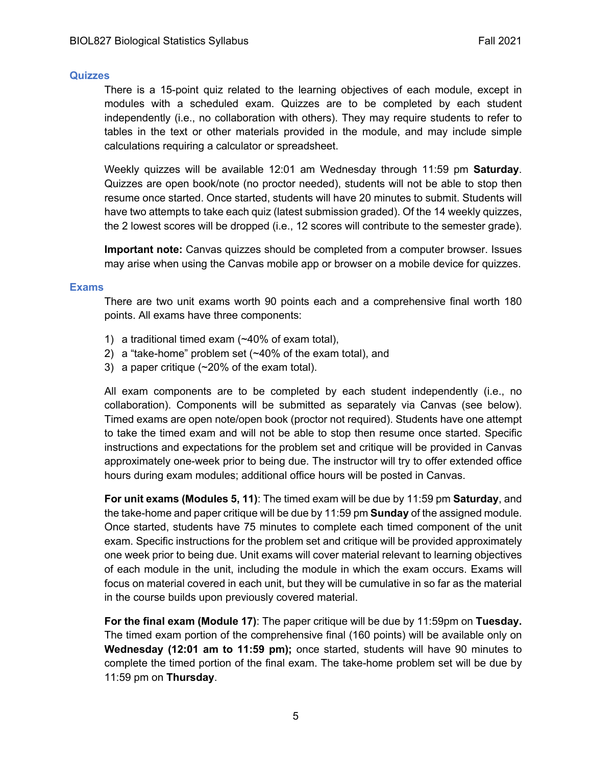#### **Quizzes**

There is a 15-point quiz related to the learning objectives of each module, except in modules with a scheduled exam. Quizzes are to be completed by each student independently (i.e., no collaboration with others). They may require students to refer to tables in the text or other materials provided in the module, and may include simple calculations requiring a calculator or spreadsheet.

Weekly quizzes will be available 12:01 am Wednesday through 11:59 pm **Saturday**. Quizzes are open book/note (no proctor needed), students will not be able to stop then resume once started. Once started, students will have 20 minutes to submit. Students will have two attempts to take each quiz (latest submission graded). Of the 14 weekly quizzes, the 2 lowest scores will be dropped (i.e., 12 scores will contribute to the semester grade).

**Important note:** Canvas quizzes should be completed from a computer browser. Issues may arise when using the Canvas mobile app or browser on a mobile device for quizzes.

#### **Exams**

There are two unit exams worth 90 points each and a comprehensive final worth 180 points. All exams have three components:

- 1) a traditional timed exam (~40% of exam total),
- 2) a "take-home" problem set (~40% of the exam total), and
- 3) a paper critique (~20% of the exam total).

All exam components are to be completed by each student independently (i.e., no collaboration). Components will be submitted as separately via Canvas (see below). Timed exams are open note/open book (proctor not required). Students have one attempt to take the timed exam and will not be able to stop then resume once started. Specific instructions and expectations for the problem set and critique will be provided in Canvas approximately one-week prior to being due. The instructor will try to offer extended office hours during exam modules; additional office hours will be posted in Canvas.

**For unit exams (Modules 5, 11)**: The timed exam will be due by 11:59 pm **Saturday**, and the take-home and paper critique will be due by 11:59 pm **Sunday** of the assigned module. Once started, students have 75 minutes to complete each timed component of the unit exam. Specific instructions for the problem set and critique will be provided approximately one week prior to being due. Unit exams will cover material relevant to learning objectives of each module in the unit, including the module in which the exam occurs. Exams will focus on material covered in each unit, but they will be cumulative in so far as the material in the course builds upon previously covered material.

**For the final exam (Module 17)**: The paper critique will be due by 11:59pm on **Tuesday.** The timed exam portion of the comprehensive final (160 points) will be available only on **Wednesday (12:01 am to 11:59 pm);** once started, students will have 90 minutes to complete the timed portion of the final exam. The take-home problem set will be due by 11:59 pm on **Thursday**.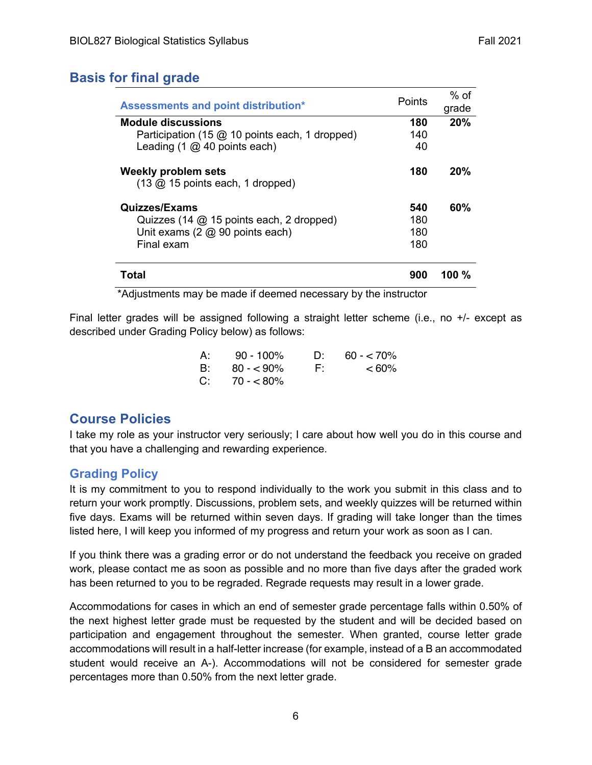# **Basis for final grade**

| Assessments and point distribution*                                         | Points | % of<br>grade |
|-----------------------------------------------------------------------------|--------|---------------|
| <b>Module discussions</b>                                                   | 180    | 20%           |
| Participation (15 $@$ 10 points each, 1 dropped)                            | 140    |               |
| Leading (1 @ 40 points each)                                                | 40     |               |
| Weekly problem sets<br>$(13 \, \textcircled{a})$ 15 points each, 1 dropped) | 180    | 20%           |
| <b>Quizzes/Exams</b>                                                        | 540    | 60%           |
| Quizzes (14 @ 15 points each, 2 dropped)                                    | 180    |               |
| Unit exams $(2 \text{ } @$ 90 points each)                                  | 180    |               |
| Final exam                                                                  | 180    |               |
| Total                                                                       | 900    | 100 $\%$      |

\*Adjustments may be made if deemed necessary by the instructor

Final letter grades will be assigned following a straight letter scheme (i.e., no +/- except as described under Grading Policy below) as follows:

| A: | $90 - 100\%$   | $\Gamma$ | $60 - 70\%$ |
|----|----------------|----------|-------------|
| B: | $80 - 90\%$    | F:       | $< 60\%$    |
|    | $C: 70 - 80\%$ |          |             |

# **Course Policies**

I take my role as your instructor very seriously; I care about how well you do in this course and that you have a challenging and rewarding experience.

## **Grading Policy**

It is my commitment to you to respond individually to the work you submit in this class and to return your work promptly. Discussions, problem sets, and weekly quizzes will be returned within five days. Exams will be returned within seven days. If grading will take longer than the times listed here, I will keep you informed of my progress and return your work as soon as I can.

If you think there was a grading error or do not understand the feedback you receive on graded work, please contact me as soon as possible and no more than five days after the graded work has been returned to you to be regraded. Regrade requests may result in a lower grade.

Accommodations for cases in which an end of semester grade percentage falls within 0.50% of the next highest letter grade must be requested by the student and will be decided based on participation and engagement throughout the semester. When granted, course letter grade accommodations will result in a half-letter increase (for example, instead of a B an accommodated student would receive an A-). Accommodations will not be considered for semester grade percentages more than 0.50% from the next letter grade.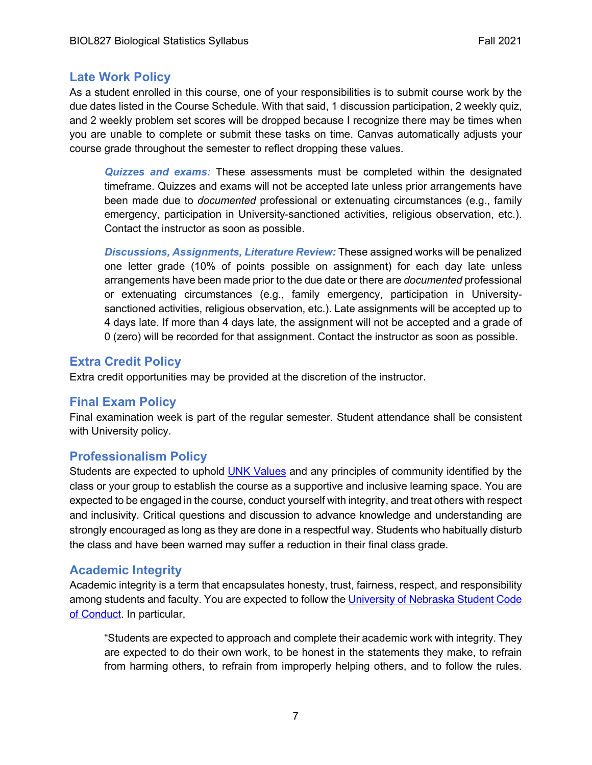## **Late Work Policy**

As a student enrolled in this course, one of your responsibilities is to submit course work by the due dates listed in the Course Schedule. With that said, 1 discussion participation, 2 weekly quiz, and 2 weekly problem set scores will be dropped because I recognize there may be times when you are unable to complete or submit these tasks on time. Canvas automatically adjusts your course grade throughout the semester to reflect dropping these values.

*Quizzes and exams:* These assessments must be completed within the designated timeframe. Quizzes and exams will not be accepted late unless prior arrangements have been made due to *documented* professional or extenuating circumstances (e.g., family emergency, participation in University-sanctioned activities, religious observation, etc.). Contact the instructor as soon as possible.

*Discussions, Assignments, Literature Review:* These assigned works will be penalized one letter grade (10% of points possible on assignment) for each day late unless arrangements have been made prior to the due date or there are *documented* professional or extenuating circumstances (e.g., family emergency, participation in Universitysanctioned activities, religious observation, etc.). Late assignments will be accepted up to 4 days late. If more than 4 days late, the assignment will not be accepted and a grade of 0 (zero) will be recorded for that assignment. Contact the instructor as soon as possible.

# **Extra Credit Policy**

Extra credit opportunities may be provided at the discretion of the instructor.

## **Final Exam Policy**

Final examination week is part of the regular semester. Student attendance shall be consistent with University policy.

## **Professionalism Policy**

Students are expected to uphold UNK Values and any principles of community identified by the class or your group to establish the course as a supportive and inclusive learning space. You are expected to be engaged in the course, conduct yourself with integrity, and treat others with respect and inclusivity. Critical questions and discussion to advance knowledge and understanding are strongly encouraged as long as they are done in a respectful way. Students who habitually disturb the class and have been warned may suffer a reduction in their final class grade.

## **Academic Integrity**

Academic integrity is a term that encapsulates honesty, trust, fairness, respect, and responsibility among students and faculty. You are expected to follow the University of Nebraska Student Code of Conduct. In particular,

"Students are expected to approach and complete their academic work with integrity. They are expected to do their own work, to be honest in the statements they make, to refrain from harming others, to refrain from improperly helping others, and to follow the rules.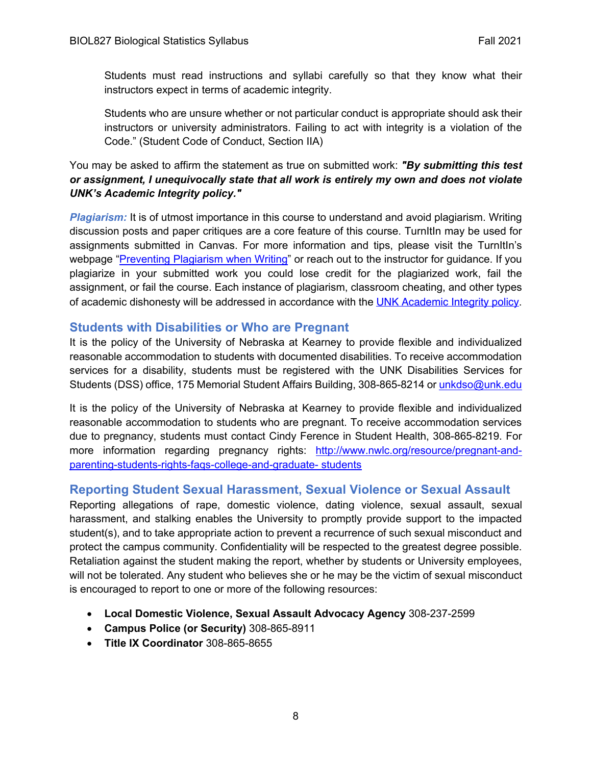Students must read instructions and syllabi carefully so that they know what their instructors expect in terms of academic integrity.

Students who are unsure whether or not particular conduct is appropriate should ask their instructors or university administrators. Failing to act with integrity is a violation of the Code." (Student Code of Conduct, Section IIA)

## You may be asked to affirm the statement as true on submitted work: *"By submitting this test or assignment, I unequivocally state that all work is entirely my own and does not violate UNK's Academic Integrity policy."*

*Plagiarism:* It is of utmost importance in this course to understand and avoid plagiarism. Writing discussion posts and paper critiques are a core feature of this course. TurnItIn may be used for assignments submitted in Canvas. For more information and tips, please visit the TurnItIn's webpage "Preventing Plagiarism when Writing" or reach out to the instructor for guidance. If you plagiarize in your submitted work you could lose credit for the plagiarized work, fail the assignment, or fail the course. Each instance of plagiarism, classroom cheating, and other types of academic dishonesty will be addressed in accordance with the UNK Academic Integrity policy.

# **Students with Disabilities or Who are Pregnant**

It is the policy of the University of Nebraska at Kearney to provide flexible and individualized reasonable accommodation to students with documented disabilities. To receive accommodation services for a disability, students must be registered with the UNK Disabilities Services for Students (DSS) office, 175 Memorial Student Affairs Building, 308-865-8214 or unkdso@unk.edu

It is the policy of the University of Nebraska at Kearney to provide flexible and individualized reasonable accommodation to students who are pregnant. To receive accommodation services due to pregnancy, students must contact Cindy Ference in Student Health, 308-865-8219. For more information regarding pregnancy rights: http://www.nwlc.org/resource/pregnant-andparenting-students-rights-faqs-college-and-graduate- students

# **Reporting Student Sexual Harassment, Sexual Violence or Sexual Assault**

Reporting allegations of rape, domestic violence, dating violence, sexual assault, sexual harassment, and stalking enables the University to promptly provide support to the impacted student(s), and to take appropriate action to prevent a recurrence of such sexual misconduct and protect the campus community. Confidentiality will be respected to the greatest degree possible. Retaliation against the student making the report, whether by students or University employees, will not be tolerated. Any student who believes she or he may be the victim of sexual misconduct is encouraged to report to one or more of the following resources:

- **Local Domestic Violence, Sexual Assault Advocacy Agency** 308-237-2599
- **Campus Police (or Security)** 308-865-8911
- **Title IX Coordinator** 308-865-8655